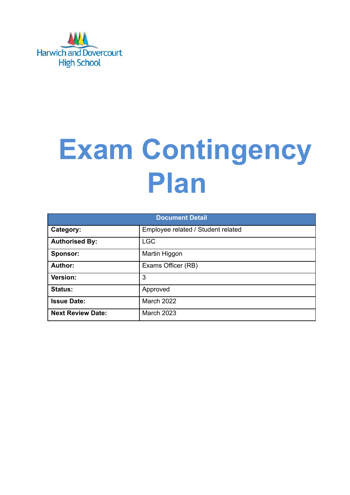

# **Exam Contingency Plan**

| <b>Document Detail</b>   |                                    |  |  |  |
|--------------------------|------------------------------------|--|--|--|
| Category:                | Employee related / Student related |  |  |  |
| <b>Authorised By:</b>    | <b>LGC</b>                         |  |  |  |
| Sponsor:                 | Martin Higgon                      |  |  |  |
| Author:                  | Exams Officer (RB)                 |  |  |  |
| Version:                 | 3                                  |  |  |  |
| <b>Status:</b>           | Approved                           |  |  |  |
| <b>Issue Date:</b>       | <b>March 2022</b>                  |  |  |  |
| <b>Next Review Date:</b> | March 2023                         |  |  |  |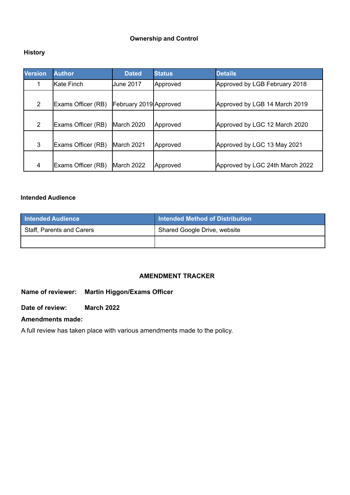#### **Ownership and Control**

# **History**

| <b>Version</b> | <b>Author</b>      | <b>Dated</b>           | <b>Details</b><br><b>Status</b> |                                 |
|----------------|--------------------|------------------------|---------------------------------|---------------------------------|
|                | lKate Finch        | June 2017              | Approved                        | Approved by LGB February 2018   |
|                |                    |                        |                                 |                                 |
| 2              | Exams Officer (RB) | February 2019 Approved |                                 | Approved by LGB 14 March 2019   |
|                |                    |                        |                                 |                                 |
| $\overline{2}$ | Exams Officer (RB) | March 2020             | Approved                        | Approved by LGC 12 March 2020   |
|                |                    |                        |                                 |                                 |
| 3              | Exams Officer (RB) | March 2021             | Approved                        | Approved by LGC 13 May 2021     |
|                |                    |                        |                                 |                                 |
| 4              | Exams Officer (RB) | March 2022             | Approved                        | Approved by LGC 24th March 2022 |

### **Intended Audience**

| <b>Intended Audience</b>  | <b>Intended Method of Distribution</b> |
|---------------------------|----------------------------------------|
| Staff, Parents and Carers | Shared Google Drive, website           |
|                           |                                        |

# **AMENDMENT TRACKER**

# **Name of reviewer: Martin Higgon/Exams Officer**

### **Date of review: March 2022**

# **Amendments made:**

A full review has taken place with various amendments made to the policy.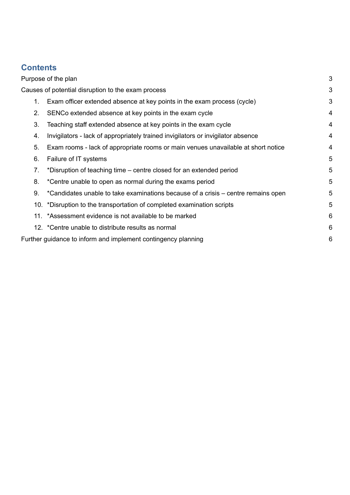# **Contents**

|    | Purpose of the plan                                                               | 3 |
|----|-----------------------------------------------------------------------------------|---|
|    | Causes of potential disruption to the exam process                                | 3 |
| 1. | Exam officer extended absence at key points in the exam process (cycle)           | 3 |
| 2. | SENCo extended absence at key points in the exam cycle                            | 4 |
| 3. | Teaching staff extended absence at key points in the exam cycle                   | 4 |
| 4. | Invigilators - lack of appropriately trained invigilators or invigilator absence  | 4 |
| 5. | Exam rooms - lack of appropriate rooms or main venues unavailable at short notice | 4 |
| 6. | Failure of IT systems                                                             | 5 |
| 7. | *Disruption of teaching time – centre closed for an extended period               | 5 |
| 8. | *Centre unable to open as normal during the exams period                          | 5 |
| 9. | *Candidates unable to take examinations because of a crisis – centre remains open | 5 |
|    | 10. *Disruption to the transportation of completed examination scripts            | 5 |
|    | 11. *Assessment evidence is not available to be marked                            | 6 |
|    | 12. *Centre unable to distribute results as normal                                | 6 |
|    | Further guidance to inform and implement contingency planning                     | 6 |
|    |                                                                                   |   |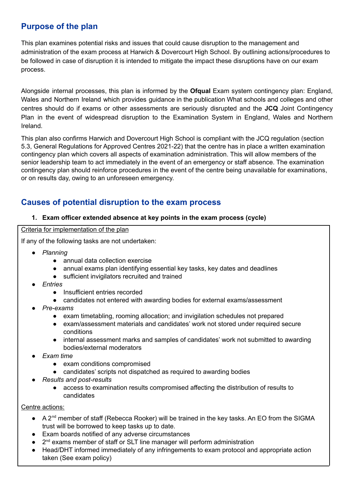# <span id="page-3-0"></span>**Purpose of the plan**

This plan examines potential risks and issues that could cause disruption to the management and administration of the exam process at Harwich & Dovercourt High School. By outlining actions/procedures to be followed in case of disruption it is intended to mitigate the impact these disruptions have on our exam process.

Alongside internal processes, this plan is informed by the **Ofqual** Exam system contingency plan: England, Wales and Northern Ireland which provides guidance in the publication What schools and colleges and other centres should do if exams or other assessments are seriously disrupted and the **JCQ** Joint Contingency Plan in the event of widespread disruption to the Examination System in England, Wales and Northern Ireland*.*

This plan also confirms Harwich and Dovercourt High School is compliant with the JCQ regulation (section 5.3, General Regulations for Approved Centres 2021-22) that the centre has in place a written examination contingency plan which covers all aspects of examination administration. This will allow members of the senior leadership team to act immediately in the event of an emergency or staff absence. The examination contingency plan should reinforce procedures in the event of the centre being unavailable for examinations, or on results day, owing to an unforeseen emergency.

# <span id="page-3-1"></span>**Causes of potential disruption to the exam process**

# <span id="page-3-2"></span>**1. Exam officer extended absence at key points in the exam process (cycle)**

Criteria for implementation of the plan

If any of the following tasks are not undertaken:

- *Planning*
	- annual data collection exercise
	- annual exams plan identifying essential key tasks, key dates and deadlines
	- sufficient invigilators recruited and trained
- *● Entries*
	- Insufficient entries recorded
	- candidates not entered with awarding bodies for external exams/assessment
- *● Pre-exams*
	- exam timetabling, rooming allocation; and invigilation schedules not prepared
	- exam/assessment materials and candidates' work not stored under required secure conditions
	- internal assessment marks and samples of candidates' work not submitted to awarding bodies/external moderators
- *● Exam time*
	- exam conditions compromised
	- candidates' scripts not dispatched as required to awarding bodies
- *● Results and post-results*
	- access to examination results compromised affecting the distribution of results to candidates

# Centre actions:

- A 2<sup>nd</sup> member of staff (Rebecca Rooker) will be trained in the key tasks. An EO from the SIGMA trust will be borrowed to keep tasks up to date.
- Exam boards notified of any adverse circumstances
- 2<sup>nd</sup> exams member of staff or SLT line manager will perform administration
- Head/DHT informed immediately of any infringements to exam protocol and appropriate action taken (See exam policy)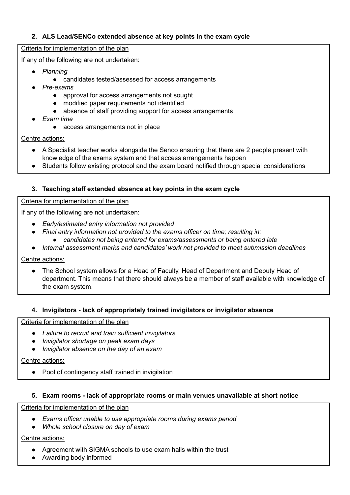# <span id="page-4-0"></span>**2. ALS Lead/SENCo extended absence at key points in the exam cycle**

#### Criteria for implementation of the plan

If any of the following are not undertaken:

- *Planning*
	- candidates tested/assessed for access arrangements
- *● Pre-exams*
	- approval for access arrangements not sought
	- modified paper requirements not identified
	- absence of staff providing support for access arrangements
- *● Exam time*
	- access arrangements not in place

Centre actions:

- A Specialist teacher works alongside the Senco ensuring that there are 2 people present with knowledge of the exams system and that access arrangements happen
- Students follow existing protocol and the exam board notified through special considerations

# <span id="page-4-1"></span>**3. Teaching staff extended absence at key points in the exam cycle**

Criteria for implementation of the plan

If any of the following are not undertaken:

- *Early/estimated entry information not provided*
- *Final entry information not provided to the exams officer on time; resulting in:*
	- *candidates not being entered for exams/assessments or being entered late*
- *● Internal assessment marks and candidates' work not provided to meet submission deadlines*

Centre actions:

The School system allows for a Head of Faculty, Head of Department and Deputy Head of department. This means that there should always be a member of staff available with knowledge of the exam system.

#### <span id="page-4-2"></span>**4. Invigilators - lack of appropriately trained invigilators or invigilator absence**

Criteria for implementation of the plan

- *Failure to recruit and train sufficient invigilators*
- *Invigilator shortage on peak exam days*
- *Invigilator absence on the day of an exam*

#### Centre actions:

● Pool of contingency staff trained in invigilation

#### <span id="page-4-3"></span>**5. Exam rooms - lack of appropriate rooms or main venues unavailable at short notice**

Criteria for implementation of the plan

- *Exams officer unable to use appropriate rooms during exams period*
- *Whole school closure on day of exam*

Centre actions:

- Agreement with SIGMA schools to use exam halls within the trust
- Awarding body informed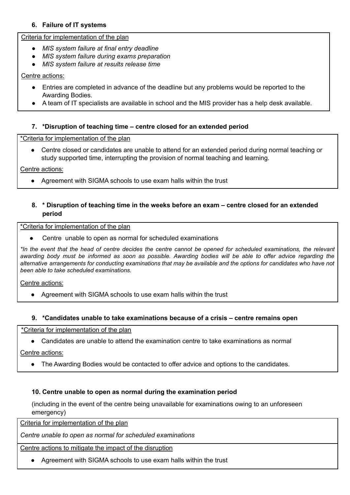# <span id="page-5-0"></span>**6. Failure of IT systems**

# Criteria for implementation of the plan

- *● MIS system failure at final entry deadline*
- *● MIS system failure during exams preparation*
- *● MIS system failure at results release time*

# Centre actions:

- Entries are completed in advance of the deadline but any problems would be reported to the Awarding Bodies.
- A team of IT specialists are available in school and the MIS provider has a help desk available.

# <span id="page-5-1"></span>**7. \*Disruption of teaching time – centre closed for an extended period**

\*Criteria for implementation of the plan

Centre closed or candidates are unable to attend for an extended period during normal teaching or study supported time, interrupting the provision of normal teaching and learning.

Centre actions:

<span id="page-5-2"></span>● Agreement with SIGMA schools to use exam halls within the trust

#### **8. \* Disruption of teaching time in the weeks before an exam – centre closed for an extended period**

#### \*Criteria for implementation of the plan

● Centre unable to open as normal for scheduled examinations

\*In the event that the head of centre decides the centre cannot be opened for scheduled examinations, the relevant awarding body must be informed as soon as possible. Awarding bodies will be able to offer advice regarding the alternative arrangements for conducting examinations that may be available and the options for candidates who have not *been able to take scheduled examinations.*

Centre actions:

● Agreement with SIGMA schools to use exam halls within the trust

#### **9. \*Candidates unable to take examinations because of a crisis – centre remains open**

\*Criteria for implementation of the plan

● Candidates are unable to attend the examination centre to take examinations as normal

Centre actions:

<span id="page-5-3"></span>• The Awarding Bodies would be contacted to offer advice and options to the candidates.

# **10. Centre unable to open as normal during the examination period**

(including in the event of the centre being unavailable for examinations owing to an unforeseen emergency)

Criteria for implementation of the plan

*Centre unable to open as normal for scheduled examinations*

## Centre actions to mitigate the impact of the disruption

● Agreement with SIGMA schools to use exam halls within the trust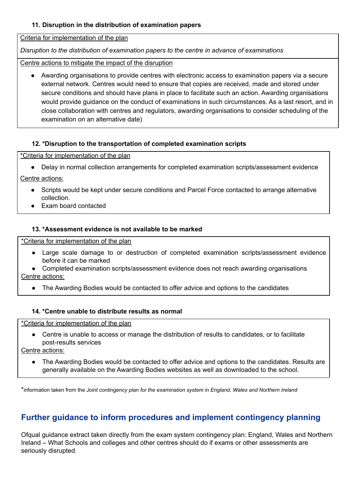# **11. Disruption in the distribution of examination papers**

Criteria for implementation of the plan

*Disruption to the distribution of examination papers to the centre in advance of examinations*

Centre actions to mitigate the impact of the disruption

Awarding organisations to provide centres with electronic access to examination papers via a secure external network. Centres would need to ensure that copies are received, made and stored under secure conditions and should have plans in place to facilitate such an action. Awarding organisations would provide guidance on the conduct of examinations in such circumstances. As a last resort, and in close collaboration with centres and regulators, awarding organisations to consider scheduling of the examination on an alternative date)

#### **12. \*Disruption to the transportation of completed examination scripts**

\*Criteria for implementation of the plan

● Delay in normal collection arrangements for completed examination scripts/assessment evidence

Centre actions:

- Scripts would be kept under secure conditions and Parcel Force contacted to arrange alternative collection.
- <span id="page-6-0"></span>**Exam board contacted**

#### **13. \*Assessment evidence is not available to be marked**

\*Criteria for implementation of the plan

- Large scale damage to or destruction of completed examination scripts/assessment evidence before it can be marked
- Completed examination scripts/assessment evidence does not reach awarding organisations Centre actions:
	- The Awarding Bodies would be contacted to offer advice and options to the candidates

#### <span id="page-6-1"></span>**14. \*Centre unable to distribute results as normal**

#### \*Criteria for implementation of the plan

● Centre is unable to access or manage the distribution of results to candidates, or to facilitate post-results services

Centre actions:

The Awarding Bodies would be contacted to offer advice and options to the candidates. Results are generally available on the Awarding Bodies websites as well as downloaded to the school.

\*information taken from the *Joint contingency plan for the examination system in England, Wales and Northern Ireland*

# **Further guidance to inform procedures and implement contingency planning**

Ofqual guidance extract taken directly from the exam system contingency plan: England, Wales and Northern Ireland – What Schools and colleges and other centres should do if exams or other assessments are seriously disrupted.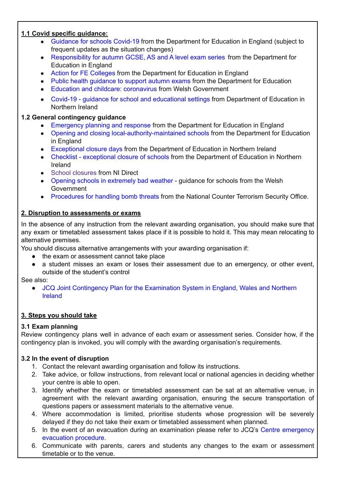# **1.1 Covid specific guidance:**

- [Guidance](https://www.gov.uk/government/collections/guidance-for-schools-coronavirus-covid-19#safe-working-and-protective-measures) for schools Covid-19 from the Department for Education in England (subject to frequent updates as the situation changes)
- [Responsibility](https://www.gov.uk/government/publications/responsibility-for-autumn-gcse-as-and-a-level-exam-series) for autumn GCSE, AS and A level exam series from the Department for Education in England
- Action for FE [Colleges](https://www.gov.uk/government/publications/coronavirus-covid-19-maintaining-further-education-provision) from the Department for Education in England
- Public health quidance to support autumn exams from the Department for Education
- Education and childcare: [coronavirus](https://gov.wales/education-coronavirus) from Welsh Government
- **●** Covid-19 guidance for school and [educational](https://www.education-ni.gov.uk/publications/coronavirus-covid-19-guidance-school-and-educational-settings-northern-ireland) settings from Department of Education in Northern Ireland

# **1.2 General contingency guidance**

- [Emergency](https://www.gov.uk/guidance/emergencies-and-severe-weather-schools-and-early-years-settings) planning and response from the Department for Education in England
- Opening and closing [local-authority-maintained](https://www.gov.uk/government/publications/school-organisation-maintained-schools) schools from the Department for Education in England
- [Exceptional](https://www.education-ni.gov.uk/articles/exceptional-closure-days) closure days from the Department of Education in Northern Ireland
- Checklist [exceptional](https://www.education-ni.gov.uk/publications/checklist-exceptional-closure-schools) closure of schools from the Department of Education in Northern Ireland
- School [closures](https://gov.wales/opening-schools-extremely-bad-weather-guidance-schools) from NI Direct
- Opening schools in [extremely](https://gov.wales/opening-schools-extremely-bad-weather-guidance-schools) bad weather guidance for schools from the Welsh Government
- [Procedures](https://www.gov.uk/government/publications/bomb-threats-guidance) for handling bomb threats from the National Counter Terrorism Security Office.

# **2. Disruption to assessments or exams**

In the absence of any instruction from the relevant awarding organisation, you should make sure that any exam or timetabled assessment takes place if it is possible to hold it. This may mean relocating to alternative premises.

You should discuss alternative arrangements with your awarding organisation if:

- the exam or assessment cannot take place
- a student misses an exam or loses their assessment due to an emergency, or other event, outside of the student's control

See also:

• JCQ Joint [Contingency](https://www.jcq.org.uk/exams-office/other-documents/jcq-joint-contingency-plan/) Plan for the Examination System in England, Wales and Northern [Ireland](https://www.jcq.org.uk/exams-office/other-documents/jcq-joint-contingency-plan/)

# **3. Steps you should take**

# **3.1 Exam planning**

Review contingency plans well in advance of each exam or assessment series. Consider how, if the contingency plan is invoked, you will comply with the awarding organisation's requirements.

# **3.2 In the event of disruption**

- 1. Contact the relevant awarding organisation and follow its instructions.
- 2. Take advice, or follow instructions, from relevant local or national agencies in deciding whether your centre is able to open.
- 3. Identify whether the exam or timetabled assessment can be sat at an alternative venue, in agreement with the relevant awarding organisation, ensuring the secure transportation of questions papers or assessment materials to the alternative venue.
- 4. Where accommodation is limited, prioritise students whose progression will be severely delayed if they do not take their exam or timetabled assessment when planned.
- 5. In the event of an evacuation during an examination please refer to JCQ's Centre [emergency](https://www.jcq.org.uk/exams-office/ice---instructions-for-conducting-examinations/centre-emergency-evacuation-procedure) [evacuation](https://www.jcq.org.uk/exams-office/ice---instructions-for-conducting-examinations/centre-emergency-evacuation-procedure) procedure.
- 6. Communicate with parents, carers and students any changes to the exam or assessment timetable or to the venue.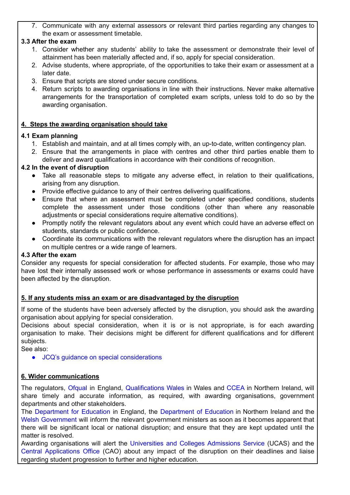7. Communicate with any external assessors or relevant third parties regarding any changes to the exam or assessment timetable.

# **3.3 After the exam**

- 1. Consider whether any students' ability to take the assessment or demonstrate their level of attainment has been materially affected and, if so, apply for special consideration.
- 2. Advise students, where appropriate, of the opportunities to take their exam or assessment at a later date.
- 3. Ensure that scripts are stored under secure conditions.
- 4. Return scripts to awarding organisations in line with their instructions. Never make alternative arrangements for the transportation of completed exam scripts, unless told to do so by the awarding organisation.

# **4. Steps the awarding organisation should take**

# **4.1 Exam planning**

- 1. Establish and maintain, and at all times comply with, an up-to-date, written contingency plan.
- 2. Ensure that the arrangements in place with centres and other third parties enable them to deliver and award qualifications in accordance with their conditions of recognition.

# **4.2 In the event of disruption**

- Take all reasonable steps to mitigate any adverse effect, in relation to their qualifications, arising from any disruption.
- Provide effective guidance to any of their centres delivering qualifications.
- Ensure that where an assessment must be completed under specified conditions, students complete the assessment under those conditions (other than where any reasonable adjustments or special considerations require alternative conditions).
- Promptly notify the relevant regulators about any event which could have an adverse effect on students, standards or public confidence.
- Coordinate its communications with the relevant regulators where the disruption has an impact on multiple centres or a wide range of learners.

# **4.3 After the exam**

Consider any requests for special consideration for affected students. For example, those who may have lost their internally assessed work or whose performance in assessments or exams could have been affected by the disruption.

# **5. If any students miss an exam or are disadvantaged by the disruption**

If some of the students have been adversely affected by the disruption, you should ask the awarding organisation about applying for special consideration.

Decisions about special consideration, when it is or is not appropriate, is for each awarding organisation to make. Their decisions might be different for different qualifications and for different subjects.

See also:

● JCQ's guidance on special [considerations](https://www.jcq.org.uk/exams-office/access-arrangements-and-special-consideration/regulations-and-guidance)

# **6. Wider communications**

The regulators, [Ofqual](https://www.gov.uk/ofqual) in England, [Qualifications](http://qualificationswales.org/) Wales in Wales and [CCEA](http://ccea.org.uk/) in Northern Ireland, will share timely and accurate information, as required, with awarding organisations, government departments and other stakeholders.

The [Department](https://www.gov.uk/government/organisations/department-for-education) for Education in England, the [Department](https://www.education-ni.gov.uk/) of Education in Northern Ireland and the Welsh [Government](http://gov.wales/topics/educationandskills/?lang=en) will inform the relevant government ministers as soon as it becomes apparent that there will be significant local or national disruption; and ensure that they are kept updated until the matter is resolved.

Awarding organisations will alert the [Universities](https://www.ucas.com/) and Colleges Admissions Service (UCAS) and the Central [Applications](http://www.cao.ie/) Office (CAO) about any impact of the disruption on their deadlines and liaise regarding student progression to further and higher education.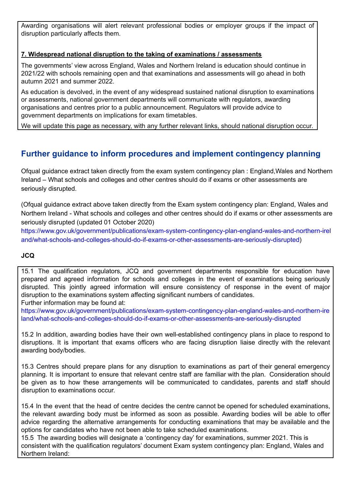Awarding organisations will alert relevant professional bodies or employer groups if the impact of disruption particularly affects them.

# **7. Widespread national disruption to the taking of examinations / assessments**

The governments' view across England, Wales and Northern Ireland is education should continue in 2021/22 with schools remaining open and that examinations and assessments will go ahead in both autumn 2021 and summer 2022.

As education is devolved, in the event of any widespread sustained national disruption to examinations or assessments, national government departments will communicate with regulators, awarding organisations and centres prior to a public announcement. Regulators will provide advice to government departments on implications for exam timetables.

We will update this page as necessary, with any further relevant links, should national disruption occur.

# **Further guidance to inform procedures and implement contingency planning**

Ofqual guidance extract taken directly from the exam system contingency plan : England,Wales and Northern Ireland – What schools and colleges and other centres should do if exams or other assessments are seriously disrupted.

(Ofqual guidance extract above taken directly from the Exam system contingency plan: England, Wales and Northern Ireland - What schools and colleges and other centres should do if exams or other assessments are seriously disrupted (updated 01 October 2020)

[https://www.gov.uk/government/publications/exam-system-contingency-plan-england-wales-and-northern-irel](https://www.gov.uk/government/publications/exam-system-contingency-plan-england-wales-and-northern-ireland/what-schools-and-colleges-should-do-if-exams-or-other-assessments-are-seriously-disrupted) [and/what-schools-and-colleges-should-do-if-exams-or-other-assessments-are-seriously-disrupted](https://www.gov.uk/government/publications/exam-system-contingency-plan-england-wales-and-northern-ireland/what-schools-and-colleges-should-do-if-exams-or-other-assessments-are-seriously-disrupted))

# **JCQ**

15.1 The qualification regulators, JCQ and government departments responsible for education have prepared and agreed information for schools and colleges in the event of examinations being seriously disrupted. This jointly agreed information will ensure consistency of response in the event of major disruption to the examinations system affecting significant numbers of candidates. Further information may be found at:

[https://www.gov.uk/government/publications/exam-system-contingency-plan-england-wales-and-northern-ire](https://www.gov.uk/government/publications/exam-system-contingency-plan-england-wales-and-northern-ireland/what-schools-and-colleges-should-do-if-exams-or-other-assessments-are-seriously-disrupted) [land/what-schools-and-colleges-should-do-if-exams-or-other-assessments-are-seriously-disrupted](https://www.gov.uk/government/publications/exam-system-contingency-plan-england-wales-and-northern-ireland/what-schools-and-colleges-should-do-if-exams-or-other-assessments-are-seriously-disrupted)

15.2 In addition, awarding bodies have their own well-established contingency plans in place to respond to disruptions. It is important that exams officers who are facing disruption liaise directly with the relevant awarding body/bodies.

15.3 Centres should prepare plans for any disruption to examinations as part of their general emergency planning. It is important to ensure that relevant centre staff are familiar with the plan. Consideration should be given as to how these arrangements will be communicated to candidates, parents and staff should disruption to examinations occur.

15.4 In the event that the head of centre decides the centre cannot be opened for scheduled examinations, the relevant awarding body must be informed as soon as possible. Awarding bodies will be able to offer advice regarding the alternative arrangements for conducting examinations that may be available and the options for candidates who have not been able to take scheduled examinations.

15.5 The awarding bodies will designate a 'contingency day' for examinations, summer 2021. This is consistent with the qualification regulators' document Exam system contingency plan: England, Wales and Northern Ireland: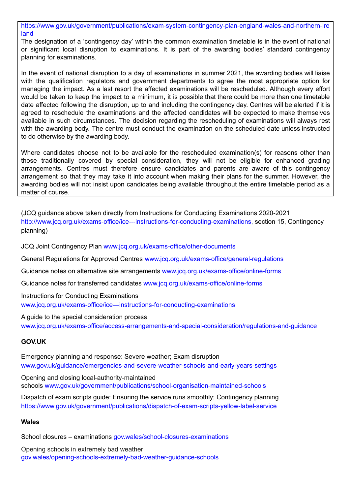[https://www.gov.uk/government/publications/exam-system-contingency-plan-england-wales-and-northern-ire](https://www.gov.uk/government/publications/exam-system-contingency-plan-england-wales-and-northern-ireland) [land](https://www.gov.uk/government/publications/exam-system-contingency-plan-england-wales-and-northern-ireland)

The designation of a 'contingency day' within the common examination timetable is in the event of national or significant local disruption to examinations. It is part of the awarding bodies' standard contingency planning for examinations.

In the event of national disruption to a day of examinations in summer 2021, the awarding bodies will liaise with the qualification regulators and government departments to agree the most appropriate option for managing the impact. As a last resort the affected examinations will be rescheduled. Although every effort would be taken to keep the impact to a minimum, it is possible that there could be more than one timetable date affected following the disruption, up to and including the contingency day. Centres will be alerted if it is agreed to reschedule the examinations and the affected candidates will be expected to make themselves available in such circumstances. The decision regarding the rescheduling of examinations will always rest with the awarding body. The centre must conduct the examination on the scheduled date unless instructed to do otherwise by the awarding body.

Where candidates choose not to be available for the rescheduled examination(s) for reasons other than those traditionally covered by special consideration, they will not be eligible for enhanced grading arrangements. Centres must therefore ensure candidates and parents are aware of this contingency arrangement so that they may take it into account when making their plans for the summer. However, the awarding bodies will not insist upon candidates being available throughout the entire timetable period as a matter of course.

(JCQ guidance above taken directly from Instructions for Conducting Examinations 2020-2021 <http://www.jcq.org.uk/exams-office/ice---instructions-for-conducting-examinations>, section 15, Contingency planning)

JCQ Joint Contingency Plan [www.jcq.org.uk/exams-office/other-documents](http://www.jcq.org.uk/exams-office/other-documents)

General Regulations for Approved Centres [www.jcq.org.uk/exams-office/general-regulations](http://www.jcq.org.uk/exams-office/general-regulations)

Guidance notes on alternative site arrangements [www.jcq.org.uk/exams-office/online-forms](http://www.jcq.org.uk/exams-office/online-forms)

Guidance notes for transferred candidates [www.jcq.org.uk/exams-office/online-forms](http://www.jcq.org.uk/exams-office/online-forms)

Instructions for Conducting Examinations [www.jcq.org.uk/exams-office/ice---instructions-for-conducting-examinations](http://www.jcq.org.uk/exams-office/ice---instructions-for-conducting-examinations)

A guide to the special consideration process [www.jcq.org.uk/exams-office/access-arrangements-and-special-consideration/regulations-and-guidance](http://www.jcq.org.uk/exams-office/access-arrangements-and-special-consideration/regulations-and-guidance)

# **GOV.UK**

Emergency planning and response: Severe weather; Exam disruption [www.gov.uk/guidance/emergencies-and-severe-weather-schools-and-early-years-settings](http://www.gov.uk/guidance/emergencies-and-severe-weather-schools-and-early-years-settings)

Opening and closing local-authority-maintained schools [www.gov.uk/government/publications/school-organisation-maintained-schools](http://www.gov.uk/government/publications/school-organisation-maintained-schools)

Dispatch of exam scripts guide: Ensuring the service runs smoothly; Contingency planning <https://www.gov.uk/government/publications/dispatch-of-exam-scripts-yellow-label-service>

# **Wales**

School closures – examinations [gov.wales/school-closures-examinations](https://gov.wales/school-closures-examinations)

Opening schools in extremely bad weather [gov.wales/opening-schools-extremely-bad-weather-guidance-schools](https://gov.wales/opening-schools-extremely-bad-weather-guidance-schools)